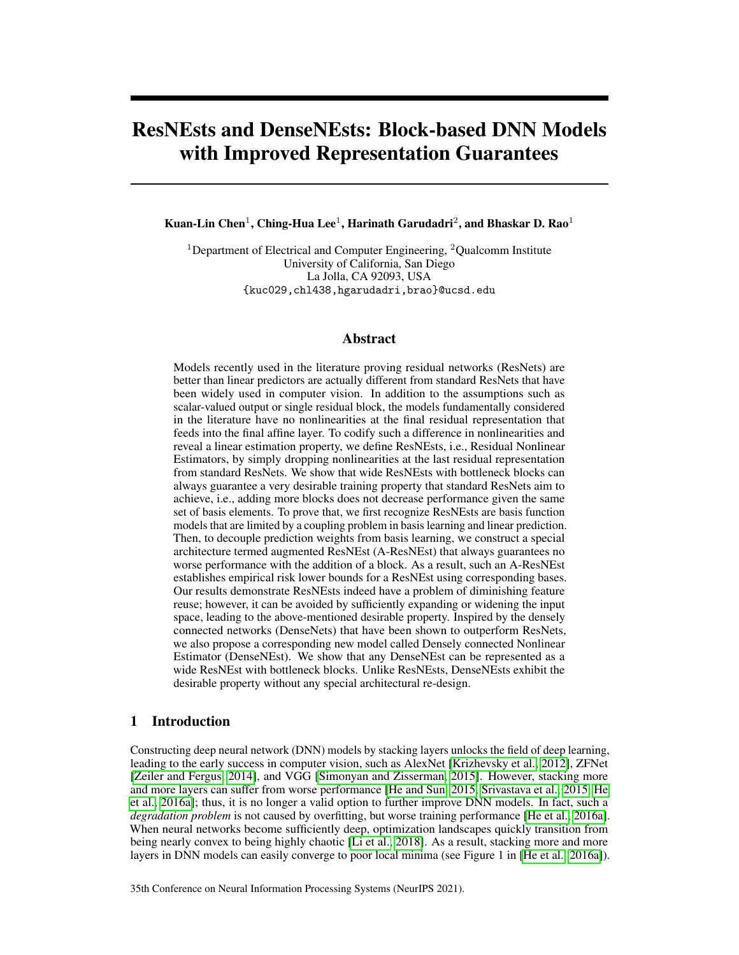# ResNEsts and DenseNEsts: Block-based DNN Models with Improved Representation Guarantees

Kuan-Lin Chen $^1$ , Ching-Hua Lee $^1$ , Harinath Garudadri $^2$ , and Bhaskar D. Rao $^1$ 

<sup>1</sup>Department of Electrical and Computer Engineering, <sup>2</sup>Oualcomm Institute University of California, San Diego La Jolla, CA 92093, USA {kuc029,chl438,hgarudadri,brao}@ucsd.edu

## Abstract

Models recently used in the literature proving residual networks (ResNets) are better than linear predictors are actually different from standard ResNets that have been widely used in computer vision. In addition to the assumptions such as scalar-valued output or single residual block, the models fundamentally considered in the literature have no nonlinearities at the final residual representation that feeds into the final affine layer. To codify such a difference in nonlinearities and reveal a linear estimation property, we define ResNEsts, i.e., Residual Nonlinear Estimators, by simply dropping nonlinearities at the last residual representation from standard ResNets. We show that wide ResNEsts with bottleneck blocks can always guarantee a very desirable training property that standard ResNets aim to achieve, i.e., adding more blocks does not decrease performance given the same set of basis elements. To prove that, we first recognize ResNEsts are basis function models that are limited by a coupling problem in basis learning and linear prediction. Then, to decouple prediction weights from basis learning, we construct a special architecture termed augmented ResNEst (A-ResNEst) that always guarantees no worse performance with the addition of a block. As a result, such an A-ResNEst establishes empirical risk lower bounds for a ResNEst using corresponding bases. Our results demonstrate ResNEsts indeed have a problem of diminishing feature reuse; however, it can be avoided by sufficiently expanding or widening the input space, leading to the above-mentioned desirable property. Inspired by the densely connected networks (DenseNets) that have been shown to outperform ResNets, we also propose a corresponding new model called Densely connected Nonlinear Estimator (DenseNEst). We show that any DenseNEst can be represented as a wide ResNEst with bottleneck blocks. Unlike ResNEsts, DenseNEsts exhibit the desirable property without any special architectural re-design.

## 1 Introduction

Constructing deep neural network (DNN) models by stacking layers unlocks the field of deep learning, leading to the early success in computer vision, such as AlexNet [\[Krizhevsky et al., 2012\]](#page-10-0), ZFNet [\[Zeiler and Fergus, 2014\]](#page-11-0), and VGG [\[Simonyan and Zisserman, 2015\]](#page-11-1). However, stacking more and more layers can suffer from worse performance [\[He and Sun, 2015,](#page-10-1) [Srivastava et al., 2015,](#page-11-2) [He](#page-10-2) [et al., 2016a\]](#page-10-2); thus, it is no longer a valid option to further improve DNN models. In fact, such a *degradation problem* is not caused by overfitting, but worse training performance [\[He et al., 2016a\]](#page-10-2). When neural networks become sufficiently deep, optimization landscapes quickly transition from being nearly convex to being highly chaotic [\[Li et al., 2018\]](#page-10-3). As a result, stacking more and more layers in DNN models can easily converge to poor local minima (see Figure 1 in [\[He et al., 2016a\]](#page-10-2)).

35th Conference on Neural Information Processing Systems (NeurIPS 2021).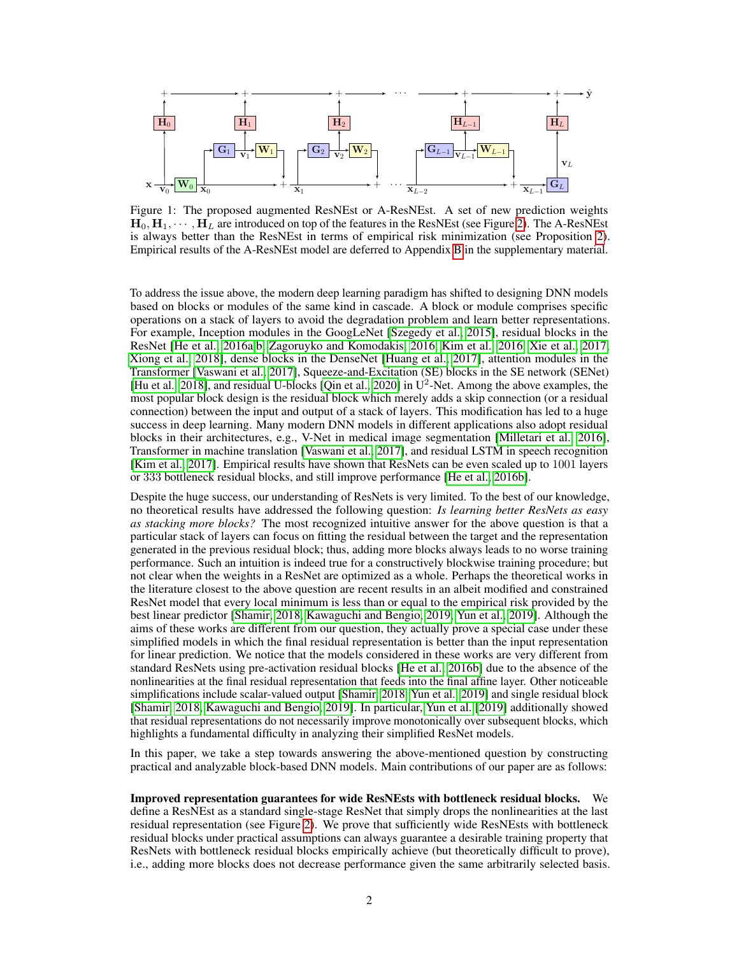<span id="page-1-0"></span>

Figure 1: The proposed augmented ResNEst or A-ResNEst. A set of new prediction weights  $H_0, H_1, \cdots, H_L$  are introduced on top of the features in the ResNEst (see Figure [2\)](#page-3-0). The A-ResNEst is always better than the ResNEst in terms of empirical risk minimization (see Proposition [2\)](#page-5-0). Empirical results of the A-ResNEst model are deferred to Appendix [B](#page--1-0) in the supplementary material.

To address the issue above, the modern deep learning paradigm has shifted to designing DNN models based on blocks or modules of the same kind in cascade. A block or module comprises specific operations on a stack of layers to avoid the degradation problem and learn better representations. For example, Inception modules in the GoogLeNet [\[Szegedy et al., 2015\]](#page-11-3), residual blocks in the ResNet [\[He et al., 2016a](#page-10-2)[,b,](#page-10-4) [Zagoruyko and Komodakis, 2016,](#page-11-4) [Kim et al., 2016,](#page-10-5) [Xie et al., 2017,](#page-11-5) [Xiong et al., 2018\]](#page-11-6), dense blocks in the DenseNet [\[Huang et al., 2017\]](#page-10-6), attention modules in the Transformer [\[Vaswani et al., 2017\]](#page-11-7), Squeeze-and-Excitation (SE) blocks in the SE network (SENet) [\[Hu et al., 2018\]](#page-10-7), and residual U-blocks [\[Qin et al., 2020\]](#page-11-8) in  $U^2$ -Net. Among the above examples, the most popular block design is the residual block which merely adds a skip connection (or a residual connection) between the input and output of a stack of layers. This modification has led to a huge success in deep learning. Many modern DNN models in different applications also adopt residual blocks in their architectures, e.g., V-Net in medical image segmentation [\[Milletari et al., 2016\]](#page-11-9), Transformer in machine translation [\[Vaswani et al., 2017\]](#page-11-7), and residual LSTM in speech recognition [\[Kim et al., 2017\]](#page-10-8). Empirical results have shown that ResNets can be even scaled up to 1001 layers or 333 bottleneck residual blocks, and still improve performance [\[He et al., 2016b\]](#page-10-4).

Despite the huge success, our understanding of ResNets is very limited. To the best of our knowledge, no theoretical results have addressed the following question: *Is learning better ResNets as easy as stacking more blocks?* The most recognized intuitive answer for the above question is that a particular stack of layers can focus on fitting the residual between the target and the representation generated in the previous residual block; thus, adding more blocks always leads to no worse training performance. Such an intuition is indeed true for a constructively blockwise training procedure; but not clear when the weights in a ResNet are optimized as a whole. Perhaps the theoretical works in the literature closest to the above question are recent results in an albeit modified and constrained ResNet model that every local minimum is less than or equal to the empirical risk provided by the best linear predictor [\[Shamir, 2018,](#page-11-10) [Kawaguchi and Bengio, 2019,](#page-10-9) [Yun et al., 2019\]](#page-11-11). Although the aims of these works are different from our question, they actually prove a special case under these simplified models in which the final residual representation is better than the input representation for linear prediction. We notice that the models considered in these works are very different from standard ResNets using pre-activation residual blocks [\[He et al., 2016b\]](#page-10-4) due to the absence of the nonlinearities at the final residual representation that feeds into the final affine layer. Other noticeable simplifications include scalar-valued output [\[Shamir, 2018,](#page-11-10) [Yun et al., 2019\]](#page-11-11) and single residual block [\[Shamir, 2018,](#page-11-10) [Kawaguchi and Bengio, 2019\]](#page-10-9). In particular, [Yun et al.](#page-11-11) [\[2019\]](#page-11-11) additionally showed that residual representations do not necessarily improve monotonically over subsequent blocks, which highlights a fundamental difficulty in analyzing their simplified ResNet models.

In this paper, we take a step towards answering the above-mentioned question by constructing practical and analyzable block-based DNN models. Main contributions of our paper are as follows:

Improved representation guarantees for wide ResNEsts with bottleneck residual blocks. We define a ResNEst as a standard single-stage ResNet that simply drops the nonlinearities at the last residual representation (see Figure [2\)](#page-3-0). We prove that sufficiently wide ResNEsts with bottleneck residual blocks under practical assumptions can always guarantee a desirable training property that ResNets with bottleneck residual blocks empirically achieve (but theoretically difficult to prove), i.e., adding more blocks does not decrease performance given the same arbitrarily selected basis.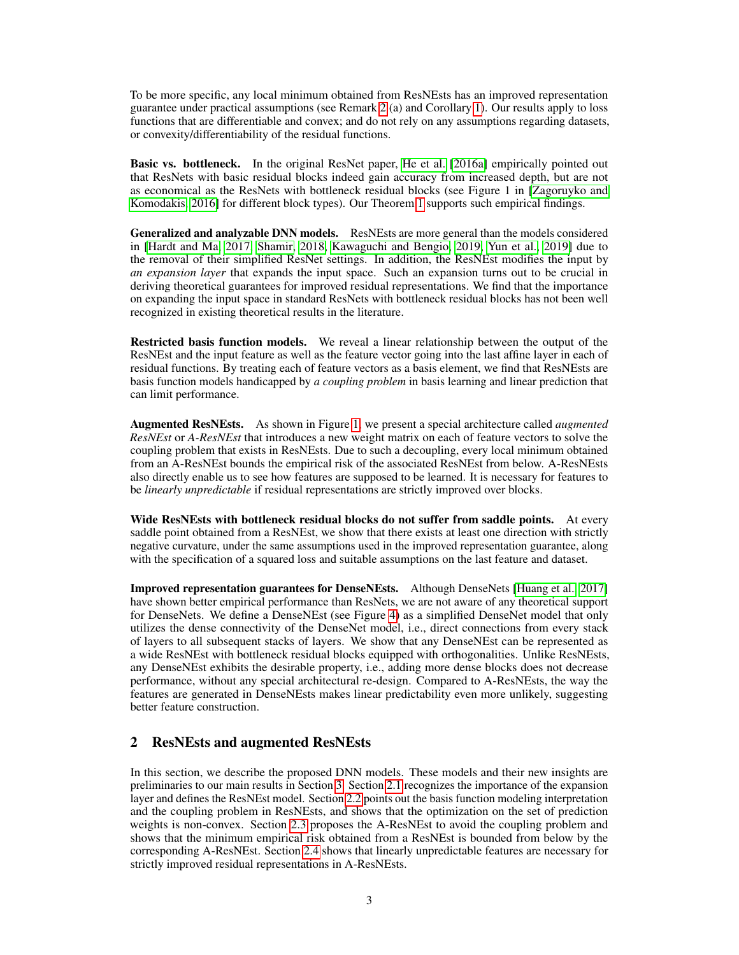To be more specific, any local minimum obtained from ResNEsts has an improved representation guarantee under practical assumptions (see Remark [2](#page-6-0) (a) and Corollary [1\)](#page-6-1). Our results apply to loss functions that are differentiable and convex; and do not rely on any assumptions regarding datasets, or convexity/differentiability of the residual functions.

Basic vs. bottleneck. In the original ResNet paper, [He et al.](#page-10-2) [\[2016a\]](#page-10-2) empirically pointed out that ResNets with basic residual blocks indeed gain accuracy from increased depth, but are not as economical as the ResNets with bottleneck residual blocks (see Figure 1 in [\[Zagoruyko and](#page-11-4) [Komodakis, 2016\]](#page-11-4) for different block types). Our Theorem [1](#page-5-1) supports such empirical findings.

Generalized and analyzable DNN models. ResNEsts are more general than the models considered in [\[Hardt and Ma, 2017,](#page-10-10) [Shamir, 2018,](#page-11-10) [Kawaguchi and Bengio, 2019,](#page-10-9) [Yun et al., 2019\]](#page-11-11) due to the removal of their simplified ResNet settings. In addition, the ResNEst modifies the input by *an expansion layer* that expands the input space. Such an expansion turns out to be crucial in deriving theoretical guarantees for improved residual representations. We find that the importance on expanding the input space in standard ResNets with bottleneck residual blocks has not been well recognized in existing theoretical results in the literature.

Restricted basis function models. We reveal a linear relationship between the output of the ResNEst and the input feature as well as the feature vector going into the last affine layer in each of residual functions. By treating each of feature vectors as a basis element, we find that ResNEsts are basis function models handicapped by *a coupling problem* in basis learning and linear prediction that can limit performance.

Augmented ResNEsts. As shown in Figure [1,](#page-1-0) we present a special architecture called *augmented ResNEst* or *A-ResNEst* that introduces a new weight matrix on each of feature vectors to solve the coupling problem that exists in ResNEsts. Due to such a decoupling, every local minimum obtained from an A-ResNEst bounds the empirical risk of the associated ResNEst from below. A-ResNEsts also directly enable us to see how features are supposed to be learned. It is necessary for features to be *linearly unpredictable* if residual representations are strictly improved over blocks.

Wide ResNEsts with bottleneck residual blocks do not suffer from saddle points. At every saddle point obtained from a ResNEst, we show that there exists at least one direction with strictly negative curvature, under the same assumptions used in the improved representation guarantee, along with the specification of a squared loss and suitable assumptions on the last feature and dataset.

Improved representation guarantees for DenseNEsts. Although DenseNets [\[Huang et al., 2017\]](#page-10-6) have shown better empirical performance than ResNets, we are not aware of any theoretical support for DenseNets. We define a DenseNEst (see Figure [4\)](#page-8-0) as a simplified DenseNet model that only utilizes the dense connectivity of the DenseNet model, i.e., direct connections from every stack of layers to all subsequent stacks of layers. We show that any DenseNEst can be represented as a wide ResNEst with bottleneck residual blocks equipped with orthogonalities. Unlike ResNEsts, any DenseNEst exhibits the desirable property, i.e., adding more dense blocks does not decrease performance, without any special architectural re-design. Compared to A-ResNEsts, the way the features are generated in DenseNEsts makes linear predictability even more unlikely, suggesting better feature construction.

# 2 ResNEsts and augmented ResNEsts

In this section, we describe the proposed DNN models. These models and their new insights are preliminaries to our main results in Section [3.](#page-5-2) Section [2.1](#page-3-1) recognizes the importance of the expansion layer and defines the ResNEst model. Section [2.2](#page-3-2) points out the basis function modeling interpretation and the coupling problem in ResNEsts, and shows that the optimization on the set of prediction weights is non-convex. Section [2.3](#page-5-3) proposes the A-ResNEst to avoid the coupling problem and shows that the minimum empirical risk obtained from a ResNEst is bounded from below by the corresponding A-ResNEst. Section [2.4](#page-5-4) shows that linearly unpredictable features are necessary for strictly improved residual representations in A-ResNEsts.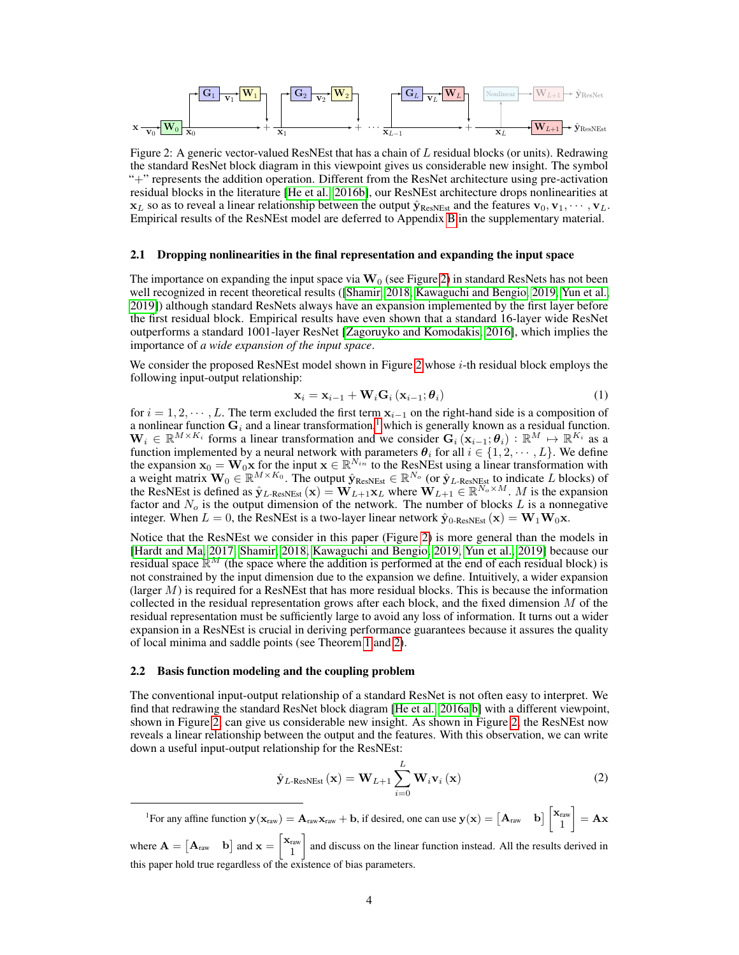<span id="page-3-0"></span>

Figure 2: A generic vector-valued ResNEst that has a chain of  $L$  residual blocks (or units). Redrawing the standard ResNet block diagram in this viewpoint gives us considerable new insight. The symbol "+" represents the addition operation. Different from the ResNet architecture using pre-activation residual blocks in the literature [\[He et al., 2016b\]](#page-10-4), our ResNEst architecture drops nonlinearities at  $x_L$  so as to reveal a linear relationship between the output  $\hat{y}_{ResNEst}$  and the features  $v_0, v_1, \dots, v_L$ . Empirical results of the ResNEst model are deferred to Appendix [B](#page--1-0) in the supplementary material.

#### <span id="page-3-1"></span>2.1 Dropping nonlinearities in the final representation and expanding the input space

The importance on expanding the input space via  $\mathbf{W}_0$  (see Figure [2\)](#page-3-0) in standard ResNets has not been well recognized in recent theoretical results ([\[Shamir, 2018,](#page-11-10) [Kawaguchi and Bengio, 2019,](#page-10-9) [Yun et al.,](#page-11-11) [2019\]](#page-11-11)) although standard ResNets always have an expansion implemented by the first layer before the first residual block. Empirical results have even shown that a standard 16-layer wide ResNet outperforms a standard 1001-layer ResNet [\[Zagoruyko and Komodakis, 2016\]](#page-11-4), which implies the importance of *a wide expansion of the input space*.

We consider the proposed ResNEst model shown in Figure [2](#page-3-0) whose *i*-th residual block employs the following input-output relationship:

$$
\mathbf{x}_{i} = \mathbf{x}_{i-1} + \mathbf{W}_{i} \mathbf{G}_{i} \left( \mathbf{x}_{i-1}; \boldsymbol{\theta}_{i} \right) \tag{1}
$$

for  $i = 1, 2, \dots, L$ . The term excluded the first term  $\mathbf{x}_{i-1}$  on the right-hand side is a composition of a nonlinear function  $G_i$  and a linear transformation,<sup>[1](#page-3-3)</sup> which is generally known as a residual function.  $\mathbf{W}_i \in \mathbb{R}^{M \times K_i}$  forms a linear transformation and we consider  $\mathbf{G}_i(\mathbf{x}_{i-1}; \theta_i) : \mathbb{R}^M \mapsto \mathbb{R}^{K_i}$  as a function implemented by a neural network with parameters  $\theta_i$  for all  $i \in \{1, 2, \dots, L\}$ . We define the expansion  $\mathbf{x}_0 = \mathbf{W}_0 \mathbf{x}$  for the input  $\mathbf{x} \in \mathbb{R}^{N_{in}}$  to the ResNEst using a linear transformation with a weight matrix  $\mathbf{W}_0 \in \mathbb{R}^{M \times K_0}$ . The output  $\hat{\mathbf{y}}_{\text{ResNEst}} \in \mathbb{R}^{N_o}$  (or  $\hat{\mathbf{y}}_{L\text{-ResNEst}}$  to indicate L blocks) of the ResNEst is defined as  $\hat{\mathbf{y}}_{L\text{-ResNEst}}(\mathbf{x}) = \mathbf{W}_{L+1}\mathbf{x}_L$  where  $\mathbf{W}_{L+1} \in \mathbb{R}^{N_o \times M}$ . M is the expansion factor and  $N_o$  is the output dimension of the network. The number of blocks L is a nonnegative integer. When  $L = 0$ , the ResNEst is a two-layer linear network  $\hat{\mathbf{y}}_{0\text{-ResNEst}}(\mathbf{x}) = \mathbf{W}_1 \mathbf{W}_0 \mathbf{x}$ .

Notice that the ResNEst we consider in this paper (Figure [2\)](#page-3-0) is more general than the models in [\[Hardt and Ma, 2017,](#page-10-10) [Shamir, 2018,](#page-11-10) [Kawaguchi and Bengio, 2019,](#page-10-9) [Yun et al., 2019\]](#page-11-11) because our residual space  $\mathbb{R}^M$  (the space where the addition is performed at the end of each residual block) is not constrained by the input dimension due to the expansion we define. Intuitively, a wider expansion (larger  $M$ ) is required for a ResNEst that has more residual blocks. This is because the information collected in the residual representation grows after each block, and the fixed dimension  $M$  of the residual representation must be sufficiently large to avoid any loss of information. It turns out a wider expansion in a ResNEst is crucial in deriving performance guarantees because it assures the quality of local minima and saddle points (see Theorem [1](#page-5-1) and [2\)](#page-7-0).

#### <span id="page-3-2"></span>2.2 Basis function modeling and the coupling problem

The conventional input-output relationship of a standard ResNet is not often easy to interpret. We find that redrawing the standard ResNet block diagram [\[He et al., 2016a,](#page-10-2)[b\]](#page-10-4) with a different viewpoint, shown in Figure [2,](#page-3-0) can give us considerable new insight. As shown in Figure [2,](#page-3-0) the ResNEst now reveals a linear relationship between the output and the features. With this observation, we can write down a useful input-output relationship for the ResNEst:

<span id="page-3-4"></span>
$$
\hat{\mathbf{y}}_{L\text{-ResNEst}}\left(\mathbf{x}\right) = \mathbf{W}_{L+1} \sum_{i=0}^{L} \mathbf{W}_{i} \mathbf{v}_{i}\left(\mathbf{x}\right)
$$
\n(2)

<span id="page-3-3"></span><sup>1</sup>For any affine function  $y(x_{raw}) = A_{raw}x_{raw} + b$ , if desired, one can use  $y(x) = \begin{bmatrix} A_{raw} & b \end{bmatrix} \begin{bmatrix} x_{raw} \\ y_{raw} \end{bmatrix}$ 1  $\Big] = Ax$ where  $\mathbf{A} = \begin{bmatrix} \mathbf{A}_{\text{raw}} & \mathbf{b} \end{bmatrix}$  and  $\mathbf{x} = \begin{bmatrix} \mathbf{x}_{\text{raw}} \\ \mathbf{x}_{\text{raw}} \end{bmatrix}$ 1 and discuss on the linear function instead. All the results derived in this paper hold true regardless of the existence of bias parameters.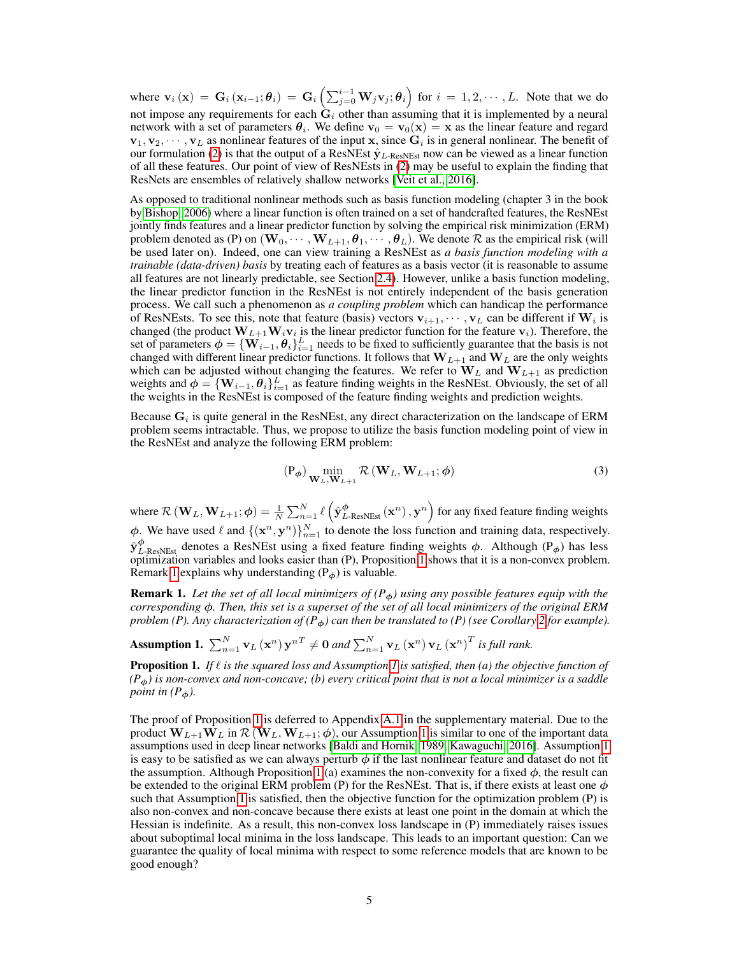where  $\mathbf{v}_i(\mathbf{x}) = \mathbf{G}_i (\mathbf{x}_{i-1}; \theta_i) = \mathbf{G}_i \left( \sum_{j=0}^{i-1} \mathbf{W}_j \mathbf{v}_j; \theta_i \right)$  for  $i = 1, 2, \cdots, L$ . Note that we do not impose any requirements for each  $\tilde{G}_i$  other than assuming that it is implemented by a neural network with a set of parameters  $\theta_i$ . We define  $\mathbf{v}_0 = \mathbf{v}_0(\mathbf{x}) = \mathbf{x}$  as the linear feature and regard  $\mathbf{v}_1, \mathbf{v}_2, \cdots, \mathbf{v}_L$  as nonlinear features of the input x, since  $\mathbf{G}_i$  is in general nonlinear. The benefit of our formulation [\(2\)](#page-3-4) is that the output of a ResNEst  $\hat{y}_L$ -ResNEst now can be viewed as a linear function of all these features. Our point of view of ResNEsts in [\(2\)](#page-3-4) may be useful to explain the finding that ResNets are ensembles of relatively shallow networks [\[Veit et al., 2016\]](#page-11-12).

As opposed to traditional nonlinear methods such as basis function modeling (chapter 3 in the book by [Bishop, 2006\)](#page-10-11) where a linear function is often trained on a set of handcrafted features, the ResNEst jointly finds features and a linear predictor function by solving the empirical risk minimization (ERM) problem denoted as (P) on  $(\mathbf{W}_0, \dots, \mathbf{W}_{L+1}, \theta_1, \dots, \theta_L)$ . We denote  $\mathcal R$  as the empirical risk (will be used later on). Indeed, one can view training a ResNEst as *a basis function modeling with a trainable (data-driven) basis* by treating each of features as a basis vector (it is reasonable to assume all features are not linearly predictable, see Section [2.4\)](#page-5-4). However, unlike a basis function modeling, the linear predictor function in the ResNEst is not entirely independent of the basis generation process. We call such a phenomenon as *a coupling problem* which can handicap the performance of ResNEsts. To see this, note that feature (basis) vectors  $v_{i+1}, \dots, v_L$  can be different if  $W_i$  is changed (the product  $W_{L+1}W_i v_i$  is the linear predictor function for the feature  $v_i$ ). Therefore, the set of parameters  $\phi = \{ \mathbf{W}_{i-1}, \theta_i \}_{i=1}^L$  needs to be fixed to sufficiently guarantee that the basis is not changed with different linear predictor functions. It follows that  $W_{L+1}$  and  $W_L$  are the only weights which can be adjusted without changing the features. We refer to  $W_L$  and  $W_{L+1}$  as prediction weights and  $\phi = \{ \mathbf{W}_{i-1}, \theta_i \}_{i=1}^L$  as feature finding weights in the ResNEst. Obviously, the set of all the weights in the ResNEst is composed of the feature finding weights and prediction weights.

Because  $G_i$  is quite general in the ResNEst, any direct characterization on the landscape of ERM problem seems intractable. Thus, we propose to utilize the basis function modeling point of view in the ResNEst and analyze the following ERM problem:

$$
(\mathbf{P}_{\phi}) \min_{\mathbf{W}_{L}, \mathbf{W}_{L+1}} \mathcal{R} \left( \mathbf{W}_{L}, \mathbf{W}_{L+1}; \phi \right)
$$
 (3)

where  $\mathcal{R}\left(\mathbf{W}_L,\mathbf{W}_{L+1};\boldsymbol{\phi}\right) = \frac{1}{N}\sum_{n=1}^N \ell\left(\hat{\mathbf{y}}_{L\text{-ResNEst}}^{\boldsymbol{\phi}}\left(\mathbf{x}^n\right), \mathbf{y}^n\right)$  for any fixed feature finding weights  $\phi$ . We have used  $\ell$  and  $\{(\mathbf{x}^n, \mathbf{y}^n)\}_{n=1}^N$  to denote the loss function and training data, respectively.  $\hat{y}^{\phi}_{L\text{-ResNEst}}$  denotes a ResNEst using a fixed feature finding weights  $\phi$ . Although (P<sub> $\phi$ </sub>) has less optimization variables and looks easier than (P), Proposition [1](#page-4-0) shows that it is a non-convex problem. Remark [1](#page-4-1) explains why understanding  $(P<sub>φ</sub>)$  is valuable.

<span id="page-4-1"></span>**Remark 1.** Let the set of all local minimizers of  $(P<sub>\phi</sub>)$  using any possible features equip with the *corresponding* ϕ*. Then, this set is a superset of the set of all local minimizers of the original ERM problem (P). Any characterization of (P*ϕ*) can then be translated to (P) (see Corollary [2](#page-6-2) for example).*

<span id="page-4-2"></span>Assumption 1.  $\sum_{n=1}^{N}$   $\mathbf{v}_L(\mathbf{x}^n)$   $\mathbf{y}^{nT} \neq \mathbf{0}$  and  $\sum_{n=1}^{N}$   $\mathbf{v}_L(\mathbf{x}^n)$   $\mathbf{v}_L(\mathbf{x}^n)^T$  is full rank.

<span id="page-4-0"></span>**Proposition [1](#page-4-2).** *If*  $\ell$  *is the squared loss and Assumption 1 is satisfied, then (a) the objective function of (P*ϕ*) is non-convex and non-concave; (b) every critical point that is not a local minimizer is a saddle point in*  $(P_φ)$ .

The proof of Proposition [1](#page-4-0) is deferred to Appendix [A.1](#page--1-1) in the supplementary material. Due to the product  $W_{L+1}W_L$  in  $\mathcal{R} (W_L, W_{L+1}; \phi)$ , our Assumption [1](#page-4-2) is similar to one of the important data assumptions used in deep linear networks [\[Baldi and Hornik, 1989,](#page-10-12) [Kawaguchi, 2016\]](#page-10-13). Assumption [1](#page-4-2) is easy to be satisfied as we can always perturb  $\phi$  if the last nonlinear feature and dataset do not fit the assumption. Although Proposition [1](#page-4-0) (a) examines the non-convexity for a fixed  $\phi$ , the result can be extended to the original ERM problem (P) for the ResNEst. That is, if there exists at least one  $\phi$ such that Assumption [1](#page-4-2) is satisfied, then the objective function for the optimization problem (P) is also non-convex and non-concave because there exists at least one point in the domain at which the Hessian is indefinite. As a result, this non-convex loss landscape in (P) immediately raises issues about suboptimal local minima in the loss landscape. This leads to an important question: Can we guarantee the quality of local minima with respect to some reference models that are known to be good enough?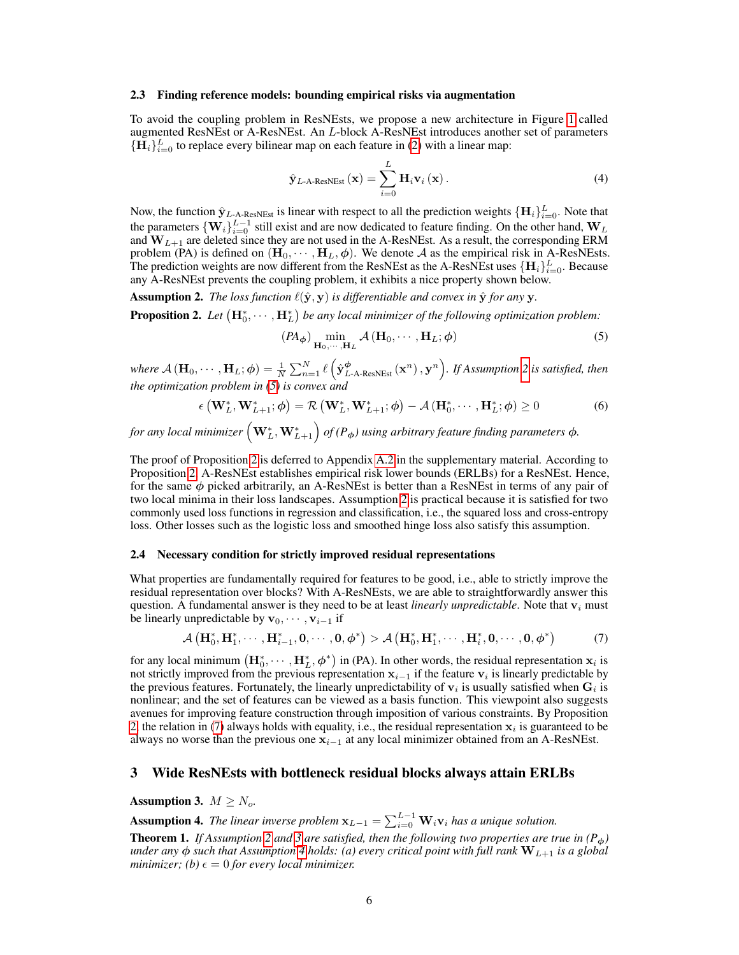#### <span id="page-5-3"></span>2.3 Finding reference models: bounding empirical risks via augmentation

To avoid the coupling problem in ResNEsts, we propose a new architecture in Figure [1](#page-1-0) called augmented ResNEst or A-ResNEst. An L-block A-ResNEst introduces another set of parameters  ${\{\mathbf \bar{H}_i\}}_{i=0}^L$  to replace every bilinear map on each feature in [\(2\)](#page-3-4) with a linear map:

$$
\hat{\mathbf{y}}_{L\text{-A-ResNEst}}\left(\mathbf{x}\right) = \sum_{i=0}^{L} \mathbf{H}_{i} \mathbf{v}_{i}\left(\mathbf{x}\right). \tag{4}
$$

Now, the function  $\hat{\mathbf{y}}_{L\text{-A-ResNEst}}$  is linear with respect to all the prediction weights  ${\{\mathbf{H}_i\}}_{i=0}^L$ . Note that the parameters  $\{W_i\}_{i=0}^{L-1}$  still exist and are now dedicated to feature finding. On the other hand,  $W_L$ and  $W_{L+1}$  are deleted since they are not used in the A-ResNEst. As a result, the corresponding ERM problem (PA) is defined on  $(\mathbf{H}_0, \cdots, \mathbf{H}_L, \phi)$ . We denote A as the empirical risk in A-ResNEsts. The prediction weights are now different from the ResNEst as the A-ResNEst uses  $\{\mathbf{H}_i\}_{i=0}^L$ . Because any A-ResNEst prevents the coupling problem, it exhibits a nice property shown below.

<span id="page-5-5"></span>Assumption 2. *The loss function*  $\ell(\hat{\mathbf{y}}, \mathbf{y})$  *is differentiable and convex in*  $\hat{\mathbf{y}}$  *for any* **y**.

<span id="page-5-0"></span>**Proposition 2.** Let  $(\mathbf{H}_0^*, \cdots, \mathbf{H}_L^*)$  be any local minimizer of the following optimization problem:

<span id="page-5-6"></span>
$$
(PA_{\phi}) \min_{\mathbf{H}_0, \cdots, \mathbf{H}_L} \mathcal{A}(\mathbf{H}_0, \cdots, \mathbf{H}_L; \phi)
$$
 (5)

where  $\mathcal{A}(\mathbf{H}_0,\cdots,\mathbf{H}_L;\boldsymbol{\phi})=\frac{1}{N}\sum_{n=1}^N\ell\left(\hat{\mathbf{y}}_{L\text{-A-ResNEst}}^{\boldsymbol{\phi}}\left(\mathbf{x}^n\right),\mathbf{y}^n\right)$ . If Assumption [2](#page-5-5) is satisfied, then *the optimization problem in [\(5\)](#page-5-6) is convex and*

$$
\epsilon \left(\mathbf{W}_{L}^{*}, \mathbf{W}_{L+1}^{*}; \boldsymbol{\phi}\right) = \mathcal{R}\left(\mathbf{W}_{L}^{*}, \mathbf{W}_{L+1}^{*}; \boldsymbol{\phi}\right) - \mathcal{A}\left(\mathbf{H}_{0}^{*}, \cdots, \mathbf{H}_{L}^{*}; \boldsymbol{\phi}\right) \geq 0 \tag{6}
$$

for any local minimizer  $\left(\mathbf{W}_{L}^{*},\mathbf{W}_{L+1}^{*}\right)$  of (P<sub> $\phi$ </sub>) using arbitrary feature finding parameters  $\phi$ .

The proof of Proposition [2](#page-5-0) is deferred to Appendix [A.2](#page--1-2) in the supplementary material. According to Proposition [2,](#page-5-0) A-ResNEst establishes empirical risk lower bounds (ERLBs) for a ResNEst. Hence, for the same  $\phi$  picked arbitrarily, an A-ResNEst is better than a ResNEst in terms of any pair of two local minima in their loss landscapes. Assumption [2](#page-5-5) is practical because it is satisfied for two commonly used loss functions in regression and classification, i.e., the squared loss and cross-entropy loss. Other losses such as the logistic loss and smoothed hinge loss also satisfy this assumption.

#### <span id="page-5-4"></span>2.4 Necessary condition for strictly improved residual representations

What properties are fundamentally required for features to be good, i.e., able to strictly improve the residual representation over blocks? With A-ResNEsts, we are able to straightforwardly answer this question. A fundamental answer is they need to be at least *linearly unpredictable*. Note that  $v_i$  must be linearly unpredictable by  $\mathbf{v}_0, \cdots, \mathbf{v}_{i-1}$  if

<span id="page-5-7"></span>
$$
\mathcal{A}\left(\mathbf{H}_{0}^{*},\mathbf{H}_{1}^{*},\cdots,\mathbf{H}_{i-1}^{*},\mathbf{0},\cdots,\mathbf{0},\phi^{*}\right) > \mathcal{A}\left(\mathbf{H}_{0}^{*},\mathbf{H}_{1}^{*},\cdots,\mathbf{H}_{i}^{*},\mathbf{0},\cdots,\mathbf{0},\phi^{*}\right) \tag{7}
$$

for any local minimum  $(\mathbf{H}_0^*, \cdots, \mathbf{H}_L^*, \phi^*)$  in (PA). In other words, the residual representation  $\mathbf{x}_i$  is not strictly improved from the previous representation  $x_{i-1}$  if the feature  $v_i$  is linearly predictable by the previous features. Fortunately, the linearly unpredictability of  $v_i$  is usually satisfied when  $G_i$  is nonlinear; and the set of features can be viewed as a basis function. This viewpoint also suggests avenues for improving feature construction through imposition of various constraints. By Proposition [2,](#page-5-0) the relation in [\(7\)](#page-5-7) always holds with equality, i.e., the residual representation  $x_i$  is guaranteed to be always no worse than the previous one  $x_{i-1}$  at any local minimizer obtained from an A-ResNEst.

### <span id="page-5-2"></span>3 Wide ResNEsts with bottleneck residual blocks always attain ERLBs

<span id="page-5-8"></span>Assumption 3.  $M \geq N_o$ .

<span id="page-5-9"></span>**Assumption 4.** The linear inverse problem  $\mathbf{x}_{L-1} = \sum_{i=0}^{L-1} \mathbf{W}_i \mathbf{v}_i$  has a unique solution.

<span id="page-5-1"></span>**Theorem 1.** *If Assumption* [2](#page-5-5) *and* [3](#page-5-8) *are satisfied, then the following two properties are true in*  $(P_{\phi})$ *under any*  $\phi$  *such that Assumption [4](#page-5-9) holds: (a) every critical point with full rank*  $W_{L+1}$  *is a global minimizer; (b)*  $\epsilon = 0$  *for every local minimizer.*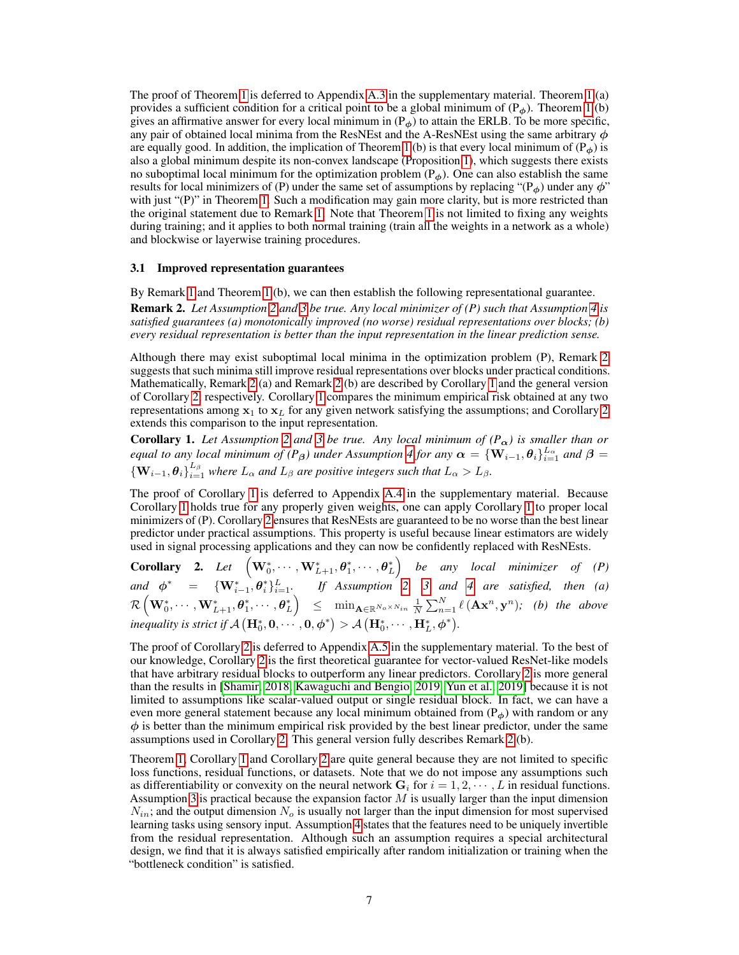The proof of Theorem [1](#page-5-1) is deferred to Appendix [A.3](#page--1-3) in the supplementary material. Theorem [1](#page-5-1) (a) provides a sufficient condition for a critical point to be a global minimum of  $(P<sub>φ</sub>)$ . Theorem [1](#page-5-1) (b) gives an affirmative answer for every local minimum in  $(P<sub>φ</sub>)$  to attain the ERLB. To be more specific, any pair of obtained local minima from the ResNEst and the A-ResNEst using the same arbitrary  $\phi$ are equally good. In addition, the implication of Theorem [1](#page-5-1) (b) is that every local minimum of  $(P<sub>φ</sub>)$  is also a global minimum despite its non-convex landscape (Proposition [1\)](#page-4-0), which suggests there exists no suboptimal local minimum for the optimization problem ( $P_{\phi}$ ). One can also establish the same results for local minimizers of (P) under the same set of assumptions by replacing " $(P<sub>φ</sub>)$  under any  $\phi$ " with just "(P)" in Theorem [1.](#page-5-1) Such a modification may gain more clarity, but is more restricted than the original statement due to Remark [1.](#page-4-1) Note that Theorem [1](#page-5-1) is not limited to fixing any weights during training; and it applies to both normal training (train all the weights in a network as a whole) and blockwise or layerwise training procedures.

#### 3.1 Improved representation guarantees

<span id="page-6-0"></span>By Remark [1](#page-4-1) and Theorem [1](#page-5-1) (b), we can then establish the following representational guarantee. Remark 2. *Let Assumption [2](#page-5-5) and [3](#page-5-8) be true. Any local minimizer of (P) such that Assumption [4](#page-5-9) is satisfied guarantees (a) monotonically improved (no worse) residual representations over blocks; (b) every residual representation is better than the input representation in the linear prediction sense.*

Although there may exist suboptimal local minima in the optimization problem (P), Remark [2](#page-6-0) suggests that such minima still improve residual representations over blocks under practical conditions. Mathematically, Remark [2](#page-6-0) (a) and Remark [2](#page-6-0) (b) are described by Corollary [1](#page-6-1) and the general version of Corollary [2,](#page-6-2) respectively. Corollary [1](#page-6-1) compares the minimum empirical risk obtained at any two representations among  $x_1$  to  $x_L$  for any given network satisfying the assumptions; and Corollary [2](#page-6-2) extends this comparison to the input representation.

<span id="page-6-1"></span>**Corollary 1.** Let Assumption [2](#page-5-5) and [3](#page-5-8) be true. Any local minimum of  $(P_{\alpha})$  is smaller than or *equal to any local minimum of (P<sub>β</sub>) under Assumption [4](#page-5-9) for any*  $\alpha = \{W_{i-1}, \theta_i\}_{i=1}^{L_\alpha}$  and  $\beta =$  ${ {\{W_{i-1},\theta_i\}}_{i=1}^{L_{\beta}}}$  where  $L_{\alpha}$  and  $L_{\beta}$  are positive integers such that  $L_{\alpha} > L_{\beta}$ .

The proof of Corollary [1](#page-6-1) is deferred to Appendix [A.4](#page--1-4) in the supplementary material. Because Corollary [1](#page-6-1) holds true for any properly given weights, one can apply Corollary [1](#page-6-1) to proper local minimizers of (P). Corollary [2](#page-6-2) ensures that ResNEsts are guaranteed to be no worse than the best linear predictor under practical assumptions. This property is useful because linear estimators are widely used in signal processing applications and they can now be confidently replaced with ResNEsts.

<span id="page-6-2"></span>**Corollary 2.** Let  $\left(\mathbf{W}_0^*, \cdots, \mathbf{W}_{L+1}^*, \boldsymbol{\theta}_1^*, \cdots, \boldsymbol{\theta}_L^*\right)$  be any local minimizer of (P) and  $\phi^* = {\mathbf{W}_{i-1}^*, \theta_i^*}_{i=1}^L$  If Assumption [2,](#page-5-5) [3](#page-5-8) and [4](#page-5-9) are satisfied, then (a)  $\mathcal{R}\left(\mathbf{W}_0^*,\cdots,\mathbf{W}_{L+1}^*, \pmb{\theta}_1^*,\cdots,\pmb{\theta}_L^*\right) \;\;\leq\;\; \min_{\mathbf{A}\in\mathbb{R}^{N_o\times N_{in}}}\frac{1}{N}\sum_{n=1}^N\ell\left(\mathbf{A}\mathbf{x}^n,\mathbf{y}^n\right); \;\; (b) \;\; the \;\; above \;\; \mathbf{A}\left(\mathbf{A}\mathbf{x}^n,\mathbf{y}^n\right).$ *inequality is strict if*  $\mathcal{A}\left(\mathbf{H}_0^*, \mathbf{0}, \cdots, \mathbf{0}, \phi^*\right) > \mathcal{A}\left(\mathbf{H}_0^*, \cdots, \mathbf{H}_L^*, \phi^*\right)$ .

The proof of Corollary [2](#page-6-2) is deferred to Appendix [A.5](#page--1-0) in the supplementary material. To the best of our knowledge, Corollary [2](#page-6-2) is the first theoretical guarantee for vector-valued ResNet-like models that have arbitrary residual blocks to outperform any linear predictors. Corollary [2](#page-6-2) is more general than the results in [\[Shamir, 2018,](#page-11-10) [Kawaguchi and Bengio, 2019,](#page-10-9) [Yun et al., 2019\]](#page-11-11) because it is not limited to assumptions like scalar-valued output or single residual block. In fact, we can have a even more general statement because any local minimum obtained from  $(P_{\phi})$  with random or any  $\phi$  is better than the minimum empirical risk provided by the best linear predictor, under the same assumptions used in Corollary [2.](#page-6-2) This general version fully describes Remark [2](#page-6-0) (b).

Theorem [1,](#page-5-1) Corollary [1](#page-6-1) and Corollary [2](#page-6-2) are quite general because they are not limited to specific loss functions, residual functions, or datasets. Note that we do not impose any assumptions such as differentiability or convexity on the neural network  $G_i$  for  $i = 1, 2, \dots, L$  in residual functions. Assumption [3](#page-5-8) is practical because the expansion factor  $M$  is usually larger than the input dimension  $N_{in}$ ; and the output dimension  $N_o$  is usually not larger than the input dimension for most supervised learning tasks using sensory input. Assumption [4](#page-5-9) states that the features need to be uniquely invertible from the residual representation. Although such an assumption requires a special architectural design, we find that it is always satisfied empirically after random initialization or training when the "bottleneck condition" is satisfied.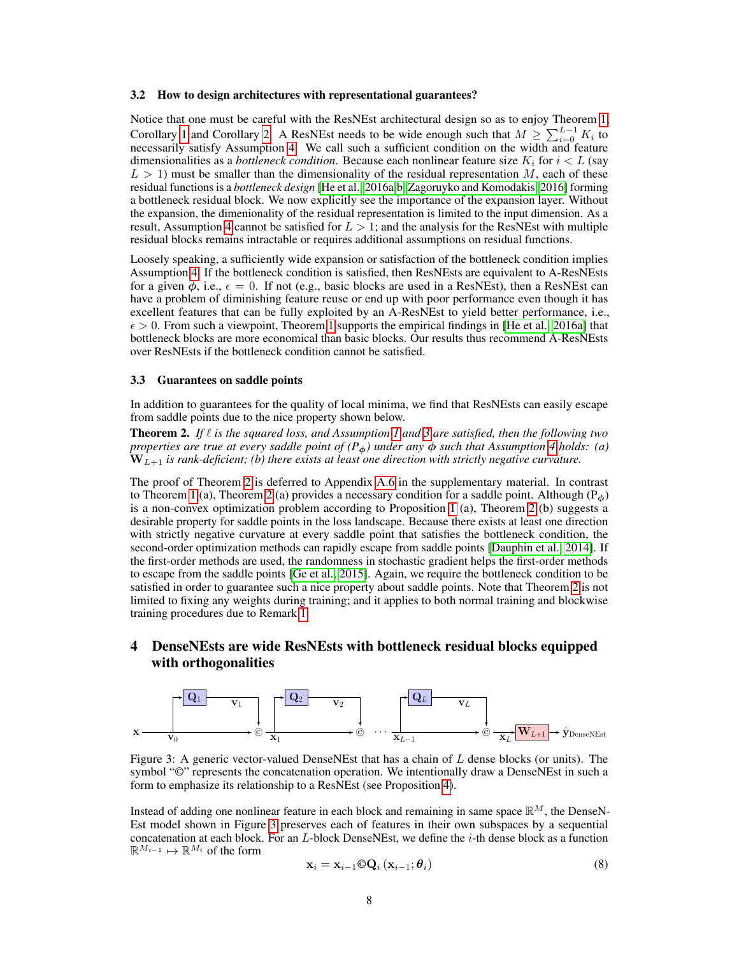#### 3.2 How to design architectures with representational guarantees?

Notice that one must be careful with the ResNEst architectural design so as to enjoy Theorem [1,](#page-5-1) Corollary [1](#page-6-1) and Corollary [2.](#page-6-2) A ResNEst needs to be wide enough such that  $M \geq \sum_{i=0}^{L-1} K_i$  to necessarily satisfy Assumption [4.](#page-5-9) We call such a sufficient condition on the width and feature dimensionalities as a *bottleneck condition*. Because each nonlinear feature size  $K_i$  for  $i < L$  (say  $L > 1$ ) must be smaller than the dimensionality of the residual representation M, each of these residual functions is a *bottleneck design* [\[He et al., 2016a](#page-10-2)[,b,](#page-10-4) [Zagoruyko and Komodakis, 2016\]](#page-11-4) forming a bottleneck residual block. We now explicitly see the importance of the expansion layer. Without the expansion, the dimenionality of the residual representation is limited to the input dimension. As a result, Assumption [4](#page-5-9) cannot be satisfied for  $L > 1$ ; and the analysis for the ResNEst with multiple residual blocks remains intractable or requires additional assumptions on residual functions.

Loosely speaking, a sufficiently wide expansion or satisfaction of the bottleneck condition implies Assumption [4.](#page-5-9) If the bottleneck condition is satisfied, then ResNEsts are equivalent to A-ResNEsts for a given  $\phi$ , i.e.,  $\epsilon = 0$ . If not (e.g., basic blocks are used in a ResNEst), then a ResNEst can have a problem of diminishing feature reuse or end up with poor performance even though it has excellent features that can be fully exploited by an A-ResNEst to yield better performance, i.e.,  $\epsilon > 0$ . From such a viewpoint, Theorem [1](#page-5-1) supports the empirical findings in [\[He et al., 2016a\]](#page-10-2) that bottleneck blocks are more economical than basic blocks. Our results thus recommend A-ResNEsts over ResNEsts if the bottleneck condition cannot be satisfied.

#### 3.3 Guarantees on saddle points

In addition to guarantees for the quality of local minima, we find that ResNEsts can easily escape from saddle points due to the nice property shown below.

<span id="page-7-0"></span>Theorem 2. *If* ℓ *is the squared loss, and Assumption [1](#page-4-2) and [3](#page-5-8) are satisfied, then the following two properties are true at every saddle point of*  $(P_{\phi})$  *under any*  $\phi$  *such that Assumption* [4](#page-5-9) *holds:* (a)  $\mathbf{\tilde{W}}_{L+1}$  *is rank-deficient; (b) there exists at least one direction with strictly negative curvature.* 

The proof of Theorem [2](#page-7-0) is deferred to Appendix [A.6](#page--1-5) in the supplementary material. In contrast to Theorem [1](#page-5-1) (a), Theorem [2](#page-7-0) (a) provides a necessary condition for a saddle point. Although ( $P_{\phi}$ ) is a non-convex optimization problem according to Proposition [1](#page-4-0) (a), Theorem [2](#page-7-0) (b) suggests a desirable property for saddle points in the loss landscape. Because there exists at least one direction with strictly negative curvature at every saddle point that satisfies the bottleneck condition, the second-order optimization methods can rapidly escape from saddle points [\[Dauphin et al., 2014\]](#page-10-14). If the first-order methods are used, the randomness in stochastic gradient helps the first-order methods to escape from the saddle points [\[Ge et al., 2015\]](#page-10-15). Again, we require the bottleneck condition to be satisfied in order to guarantee such a nice property about saddle points. Note that Theorem [2](#page-7-0) is not limited to fixing any weights during training; and it applies to both normal training and blockwise training procedures due to Remark [1.](#page-4-1)

# 4 DenseNEsts are wide ResNEsts with bottleneck residual blocks equipped with orthogonalities

<span id="page-7-1"></span>

Figure 3: A generic vector-valued DenseNEst that has a chain of  $L$  dense blocks (or units). The symbol "<sup>o</sup>" represents the concatenation operation. We intentionally draw a DenseNEst in such a form to emphasize its relationship to a ResNEst (see Proposition [4\)](#page-8-1).

Instead of adding one nonlinear feature in each block and remaining in same space  $\mathbb{R}^M$ , the DenseN-Est model shown in Figure [3](#page-7-1) preserves each of features in their own subspaces by a sequential concatenation at each block. For an  $L$ -block DenseNEst, we define the  $i$ -th dense block as a function  $\mathbb{R}^{M_{i-1}}$   $\mapsto$   $\mathbb{R}^{M_i}$  of the form

$$
\mathbf{x}_{i} = \mathbf{x}_{i-1} \mathbb{O} \mathbf{Q}_{i} \left( \mathbf{x}_{i-1}; \boldsymbol{\theta}_{i} \right) \tag{8}
$$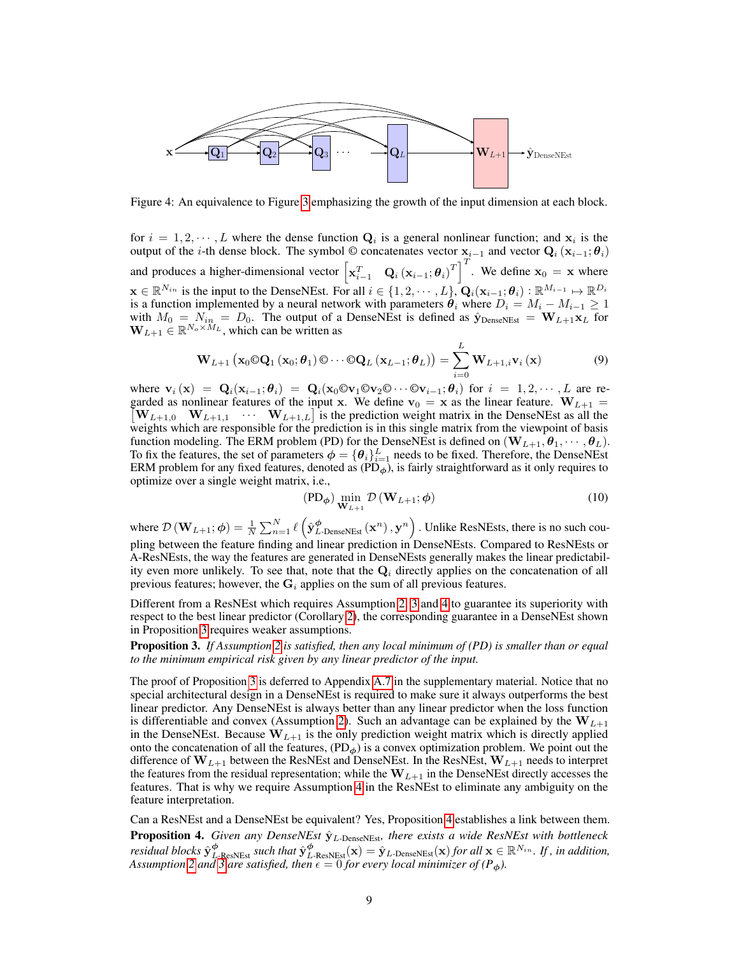<span id="page-8-0"></span>

Figure 4: An equivalence to Figure [3](#page-7-1) emphasizing the growth of the input dimension at each block.

for  $i = 1, 2, \dots, L$  where the dense function  $\mathbf{Q}_i$  is a general nonlinear function; and  $\mathbf{x}_i$  is the output of the *i*-th dense block. The symbol © concatenates vector  $\mathbf{x}_{i-1}$  and vector  $\mathbf{Q}_i$  ( $\mathbf{x}_{i-1}$ ;  $\boldsymbol{\theta}_i$ ) and produces a higher-dimensional vector  $\begin{bmatrix} x_{i-1}^T & \mathbf{Q}_i(x_{i-1}; \theta_i)^T \end{bmatrix}^T$ . We define  $\mathbf{x}_0 = \mathbf{x}$  where  $\mathbf{x} \in \mathbb{R}^{N_{in}}$  is the input to the DenseNEst. For all  $i \in \{1, 2, \cdots, L\}$ ,  $\mathbf{Q}_i(\mathbf{x}_{i-1}; \boldsymbol{\theta}_i) : \mathbb{R}^{M_{i-1}} \mapsto \mathbb{R}^{D_i}$ is a function implemented by a neural network with parameters  $\theta_i$  where  $D_i = M_i - M_{i-1} \geq 1$ with  $M_0 = N_{in} = D_0$ . The output of a DenseNEst is defined as  $\hat{y}_{DenseNEst} = W_{L+1}x_L$  for  $W_{L+1} \in \mathbb{R}^{N_o \times M_L}$ , which can be written as

$$
\mathbf{W}_{L+1}\left(\mathbf{x}_0\mathbb{Q}\mathbf{Q}_1\left(\mathbf{x}_0;\boldsymbol{\theta}_1\right)\mathbb{Q}\cdots\mathbb{Q}\mathbf{Q}_L\left(\mathbf{x}_{L-1};\boldsymbol{\theta}_L\right)\right) = \sum_{i=0}^L \mathbf{W}_{L+1,i}\mathbf{v}_i\left(\mathbf{x}\right)
$$
(9)

where  $\mathbf{v}_i(\mathbf{x}) = \mathbf{Q}_i(\mathbf{x}_{i-1}; \theta_i) = \mathbf{Q}_i(\mathbf{x}_0 \otimes \mathbf{v}_1 \otimes \mathbf{v}_2 \otimes \cdots \otimes \mathbf{v}_{i-1}; \theta_i)$  for  $i = 1, 2, \cdots, L$  are regarded as nonlinear features of the input x. We define  $v_0 = x$  as the linear feature.  $W_{L+1} =$  $[\mathbf{W}_{L+1,0}, \mathbf{W}_{L+1,1}, \cdots, \mathbf{W}_{L+1,L}]$  is the prediction weight matrix in the DenseNEst as all the weights which are responsible for the prediction is in this single matrix from the viewpoint of basis function modeling. The ERM problem (PD) for the DenseNEst is defined on  $(\mathbf{W}_{L+1}, \theta_1, \dots, \theta_L)$ . To fix the features, the set of parameters  $\phi = {\theta_i}_{i=1}^L$  needs to be fixed. Therefore, the DenseNEst ERM problem for any fixed features, denoted as  $(PD_{\phi})$ , is fairly straightforward as it only requires to optimize over a single weight matrix, i.e.,

$$
(\text{PD}_{\phi}) \min_{\mathbf{W}_{L+1}} \mathcal{D} \left( \mathbf{W}_{L+1}; \phi \right) \tag{10}
$$

where  $\mathcal{D}\left(\mathbf{W}_{L+1};\boldsymbol{\phi}\right)=\frac{1}{N}\sum_{n=1}^{N}\ell\left(\hat{\mathbf{y}}_{L\text{-DenseNEst}}^{\boldsymbol{\phi}}\left(\mathbf{x}^{n}\right),\mathbf{y}^{n}\right).$  Unlike ResNEsts, there is no such coupling between the feature finding and linear prediction in DenseNEsts. Compared to ResNEsts or A-ResNEsts, the way the features are generated in DenseNEsts generally makes the linear predictability even more unlikely. To see that, note that the  $Q_i$  directly applies on the concatenation of all previous features; however, the  $G_i$  applies on the sum of all previous features.

Different from a ResNEst which requires Assumption [2,](#page-5-5) [3](#page-5-8) and [4](#page-5-9) to guarantee its superiority with respect to the best linear predictor (Corollary [2\)](#page-6-2), the corresponding guarantee in a DenseNEst shown in Proposition [3](#page-8-2) requires weaker assumptions.

<span id="page-8-2"></span>Proposition 3. *If Assumption [2](#page-5-5) is satisfied, then any local minimum of (PD) is smaller than or equal to the minimum empirical risk given by any linear predictor of the input.*

The proof of Proposition [3](#page-8-2) is deferred to Appendix [A.7](#page--1-6) in the supplementary material. Notice that no special architectural design in a DenseNEst is required to make sure it always outperforms the best linear predictor. Any DenseNEst is always better than any linear predictor when the loss function is differentiable and convex (Assumption [2\)](#page-5-5). Such an advantage can be explained by the  $W_{L+1}$ in the DenseNEst. Because  $W_{L+1}$  is the only prediction weight matrix which is directly applied onto the concatenation of all the features,  $(PD_{\phi})$  is a convex optimization problem. We point out the difference of  $W_{L+1}$  between the ResNEst and DenseNEst. In the ResNEst,  $W_{L+1}$  needs to interpret the features from the residual representation; while the  $W_{L+1}$  in the DenseNEst directly accesses the features. That is why we require Assumption [4](#page-5-9) in the ResNEst to eliminate any ambiguity on the feature interpretation.

<span id="page-8-1"></span>Can a ResNEst and a DenseNEst be equivalent? Yes, Proposition [4](#page-8-1) establishes a link between them. **Proposition 4.** *Given any DenseNEst*  $\hat{y}_L$ -DenseNEst*, there exists a wide ResNEst with bottleneck residual blocks*  $\hat{\mathbf{y}}_{L-\text{ResNEst}}^{\boldsymbol{\phi}}$  *such that*  $\hat{\mathbf{y}}_{L-\text{ResNEst}}^{\boldsymbol{\phi}}(\mathbf{x}) = \hat{\mathbf{y}}_{L-\text{DenseNEst}}(\mathbf{x})$  *for all*  $\mathbf{x} \in \mathbb{R}^{N_{in}}$ *. If, in addition, Assumption* [2](#page-5-5) *and* [3](#page-5-8) *are satisfied, then*  $\epsilon = 0$  *for every local minimizer of* ( $P_{\phi}$ ).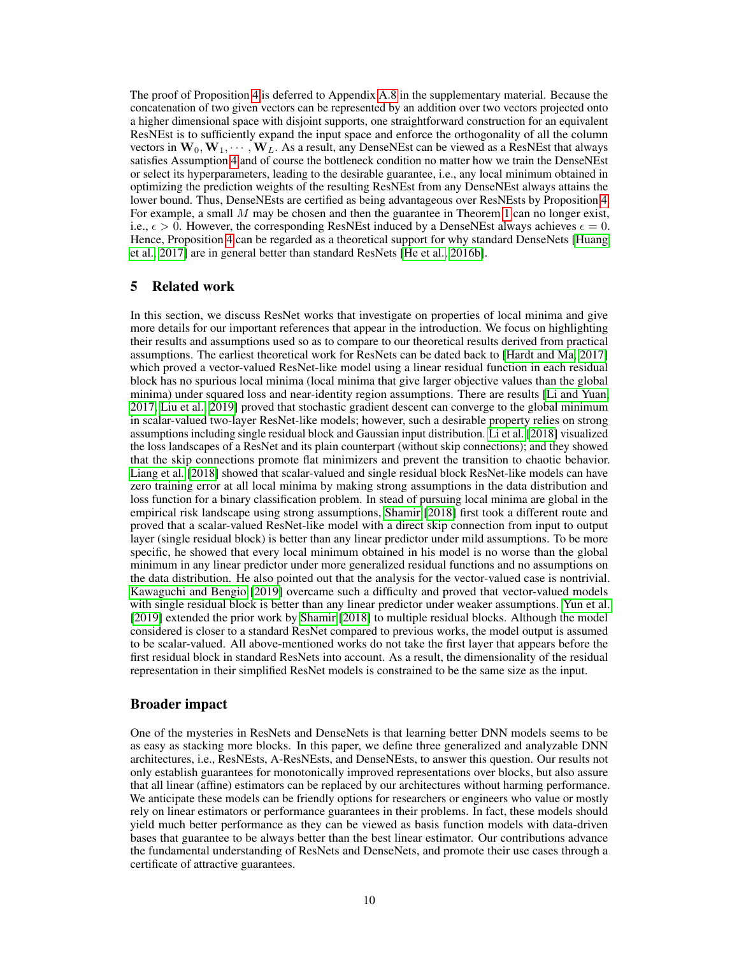The proof of Proposition [4](#page-8-1) is deferred to Appendix [A.8](#page--1-7) in the supplementary material. Because the concatenation of two given vectors can be represented by an addition over two vectors projected onto a higher dimensional space with disjoint supports, one straightforward construction for an equivalent ResNEst is to sufficiently expand the input space and enforce the orthogonality of all the column vectors in  $W_0, W_1, \dots, W_L$ . As a result, any DenseNEst can be viewed as a ResNEst that always satisfies Assumption [4](#page-5-9) and of course the bottleneck condition no matter how we train the DenseNEst or select its hyperparameters, leading to the desirable guarantee, i.e., any local minimum obtained in optimizing the prediction weights of the resulting ResNEst from any DenseNEst always attains the lower bound. Thus, DenseNEsts are certified as being advantageous over ResNEsts by Proposition [4.](#page-8-1) For example, a small  $M$  may be chosen and then the guarantee in Theorem [1](#page-5-1) can no longer exist, i.e.,  $\epsilon > 0$ . However, the corresponding ResNEst induced by a DenseNEst always achieves  $\epsilon = 0$ . Hence, Proposition [4](#page-8-1) can be regarded as a theoretical support for why standard DenseNets [\[Huang](#page-10-6) [et al., 2017\]](#page-10-6) are in general better than standard ResNets [\[He et al., 2016b\]](#page-10-4).

# 5 Related work

In this section, we discuss ResNet works that investigate on properties of local minima and give more details for our important references that appear in the introduction. We focus on highlighting their results and assumptions used so as to compare to our theoretical results derived from practical assumptions. The earliest theoretical work for ResNets can be dated back to [\[Hardt and Ma, 2017\]](#page-10-10) which proved a vector-valued ResNet-like model using a linear residual function in each residual block has no spurious local minima (local minima that give larger objective values than the global minima) under squared loss and near-identity region assumptions. There are results [\[Li and Yuan,](#page-10-16) [2017,](#page-10-16) [Liu et al., 2019\]](#page-11-13) proved that stochastic gradient descent can converge to the global minimum in scalar-valued two-layer ResNet-like models; however, such a desirable property relies on strong assumptions including single residual block and Gaussian input distribution. [Li et al.](#page-10-3) [\[2018\]](#page-10-3) visualized the loss landscapes of a ResNet and its plain counterpart (without skip connections); and they showed that the skip connections promote flat minimizers and prevent the transition to chaotic behavior. [Liang et al.](#page-11-14) [\[2018\]](#page-11-14) showed that scalar-valued and single residual block ResNet-like models can have zero training error at all local minima by making strong assumptions in the data distribution and loss function for a binary classification problem. In stead of pursuing local minima are global in the empirical risk landscape using strong assumptions, [Shamir](#page-11-10) [\[2018\]](#page-11-10) first took a different route and proved that a scalar-valued ResNet-like model with a direct skip connection from input to output layer (single residual block) is better than any linear predictor under mild assumptions. To be more specific, he showed that every local minimum obtained in his model is no worse than the global minimum in any linear predictor under more generalized residual functions and no assumptions on the data distribution. He also pointed out that the analysis for the vector-valued case is nontrivial. [Kawaguchi and Bengio](#page-10-9) [\[2019\]](#page-10-9) overcame such a difficulty and proved that vector-valued models with single residual block is better than any linear predictor under weaker assumptions. [Yun et al.](#page-11-11) [\[2019\]](#page-11-11) extended the prior work by [Shamir](#page-11-10) [\[2018\]](#page-11-10) to multiple residual blocks. Although the model considered is closer to a standard ResNet compared to previous works, the model output is assumed to be scalar-valued. All above-mentioned works do not take the first layer that appears before the first residual block in standard ResNets into account. As a result, the dimensionality of the residual representation in their simplified ResNet models is constrained to be the same size as the input.

## Broader impact

One of the mysteries in ResNets and DenseNets is that learning better DNN models seems to be as easy as stacking more blocks. In this paper, we define three generalized and analyzable DNN architectures, i.e., ResNEsts, A-ResNEsts, and DenseNEsts, to answer this question. Our results not only establish guarantees for monotonically improved representations over blocks, but also assure that all linear (affine) estimators can be replaced by our architectures without harming performance. We anticipate these models can be friendly options for researchers or engineers who value or mostly rely on linear estimators or performance guarantees in their problems. In fact, these models should yield much better performance as they can be viewed as basis function models with data-driven bases that guarantee to be always better than the best linear estimator. Our contributions advance the fundamental understanding of ResNets and DenseNets, and promote their use cases through a certificate of attractive guarantees.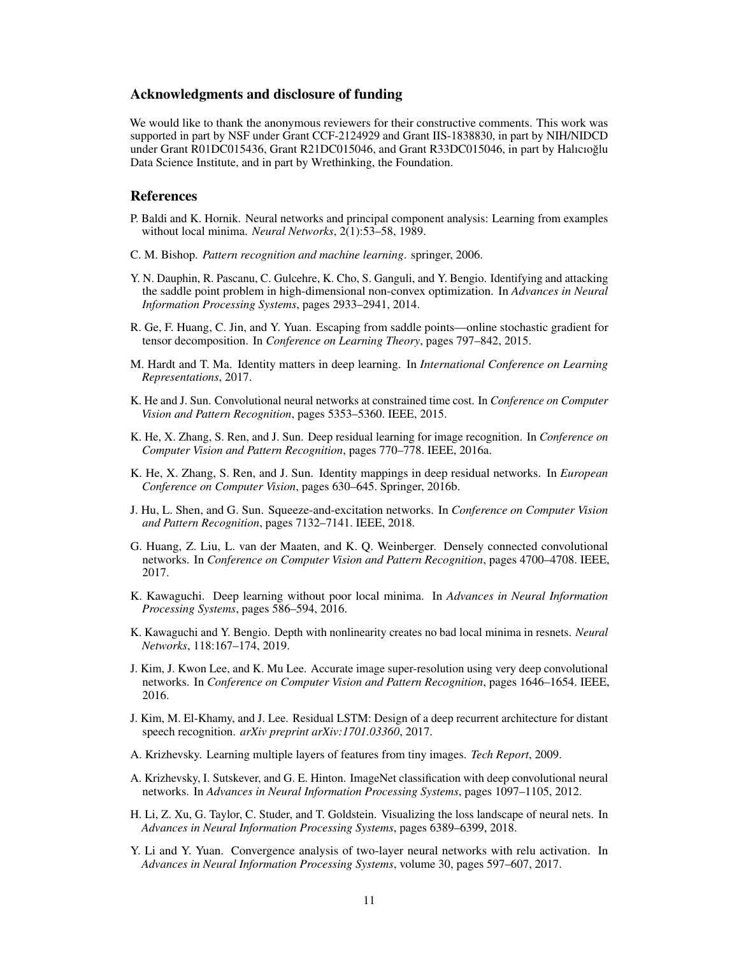## Acknowledgments and disclosure of funding

We would like to thank the anonymous reviewers for their constructive comments. This work was supported in part by NSF under Grant CCF-2124929 and Grant IIS-1838830, in part by NIH/NIDCD under Grant R01DC015436, Grant R21DC015046, and Grant R33DC015046, in part by Halıcıoğlu Data Science Institute, and in part by Wrethinking, the Foundation.

## References

- <span id="page-10-12"></span>P. Baldi and K. Hornik. Neural networks and principal component analysis: Learning from examples without local minima. *Neural Networks*, 2(1):53–58, 1989.
- <span id="page-10-11"></span>C. M. Bishop. *Pattern recognition and machine learning*. springer, 2006.
- <span id="page-10-14"></span>Y. N. Dauphin, R. Pascanu, C. Gulcehre, K. Cho, S. Ganguli, and Y. Bengio. Identifying and attacking the saddle point problem in high-dimensional non-convex optimization. In *Advances in Neural Information Processing Systems*, pages 2933–2941, 2014.
- <span id="page-10-15"></span>R. Ge, F. Huang, C. Jin, and Y. Yuan. Escaping from saddle points—online stochastic gradient for tensor decomposition. In *Conference on Learning Theory*, pages 797–842, 2015.
- <span id="page-10-10"></span>M. Hardt and T. Ma. Identity matters in deep learning. In *International Conference on Learning Representations*, 2017.
- <span id="page-10-1"></span>K. He and J. Sun. Convolutional neural networks at constrained time cost. In *Conference on Computer Vision and Pattern Recognition*, pages 5353–5360. IEEE, 2015.
- <span id="page-10-2"></span>K. He, X. Zhang, S. Ren, and J. Sun. Deep residual learning for image recognition. In *Conference on Computer Vision and Pattern Recognition*, pages 770–778. IEEE, 2016a.
- <span id="page-10-4"></span>K. He, X. Zhang, S. Ren, and J. Sun. Identity mappings in deep residual networks. In *European Conference on Computer Vision*, pages 630–645. Springer, 2016b.
- <span id="page-10-7"></span>J. Hu, L. Shen, and G. Sun. Squeeze-and-excitation networks. In *Conference on Computer Vision and Pattern Recognition*, pages 7132–7141. IEEE, 2018.
- <span id="page-10-6"></span>G. Huang, Z. Liu, L. van der Maaten, and K. Q. Weinberger. Densely connected convolutional networks. In *Conference on Computer Vision and Pattern Recognition*, pages 4700–4708. IEEE, 2017.
- <span id="page-10-13"></span>K. Kawaguchi. Deep learning without poor local minima. In *Advances in Neural Information Processing Systems*, pages 586–594, 2016.
- <span id="page-10-9"></span>K. Kawaguchi and Y. Bengio. Depth with nonlinearity creates no bad local minima in resnets. *Neural Networks*, 118:167–174, 2019.
- <span id="page-10-5"></span>J. Kim, J. Kwon Lee, and K. Mu Lee. Accurate image super-resolution using very deep convolutional networks. In *Conference on Computer Vision and Pattern Recognition*, pages 1646–1654. IEEE, 2016.
- <span id="page-10-8"></span>J. Kim, M. El-Khamy, and J. Lee. Residual LSTM: Design of a deep recurrent architecture for distant speech recognition. *arXiv preprint arXiv:1701.03360*, 2017.
- A. Krizhevsky. Learning multiple layers of features from tiny images. *Tech Report*, 2009.
- <span id="page-10-0"></span>A. Krizhevsky, I. Sutskever, and G. E. Hinton. ImageNet classification with deep convolutional neural networks. In *Advances in Neural Information Processing Systems*, pages 1097–1105, 2012.
- <span id="page-10-3"></span>H. Li, Z. Xu, G. Taylor, C. Studer, and T. Goldstein. Visualizing the loss landscape of neural nets. In *Advances in Neural Information Processing Systems*, pages 6389–6399, 2018.
- <span id="page-10-16"></span>Y. Li and Y. Yuan. Convergence analysis of two-layer neural networks with relu activation. In *Advances in Neural Information Processing Systems*, volume 30, pages 597–607, 2017.